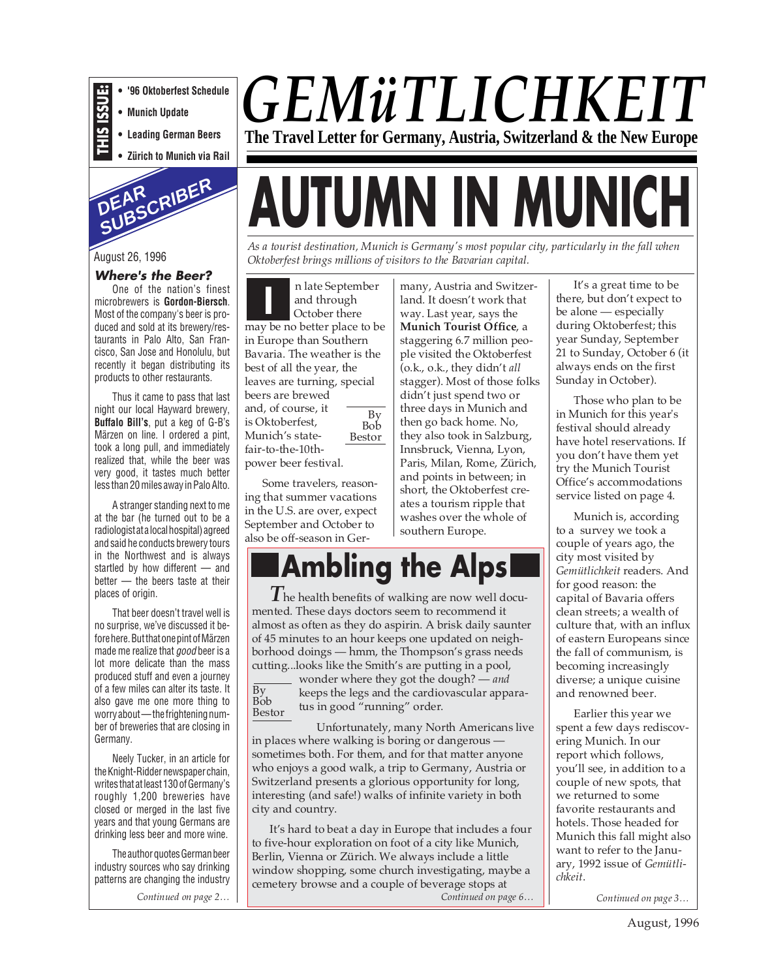- **THIS ISSUE: • '96 Oktoberfest Schedule**
	- **Munich Update**
	- **Leading German Beers**
- **Zürich to Munich via Rail**



#### August 26, 1996

#### **Where's the Beer?**

One of the nation's finest microbrewers is **Gordon-Biersch**. Most of the company's beer is produced and sold at its brewery/restaurants in Palo Alto, San Francisco, San Jose and Honolulu, but recently it began distributing its products to other restaurants.

Thus it came to pass that last night our local Hayward brewery, **Buffalo Bill's**, put a keg of G-B's Märzen on line. I ordered a pint, took a long pull, and immediately realized that, while the beer was very good, it tastes much better less than 20 miles away in Palo Alto.

A stranger standing next to me at the bar (he turned out to be a radiologist at a local hospital) agreed and said he conducts brewery tours in the Northwest and is always startled by how different — and better — the beers taste at their places of origin.

That beer doesn't travel well is no surprise, we've discussed it before here. But that one pint of Märzen made me realize that good beer is a lot more delicate than the mass produced stuff and even a journey of a few miles can alter its taste. It also gave me one more thing to worry about — the frightening number of breweries that are closing in Germany.

Neely Tucker, in an article for the Knight-Ridder newspaper chain, writes that at least 130 of Germany's roughly 1,200 breweries have closed or merged in the last five years and that young Germans are drinking less beer and more wine.

The author quotes German beer industry sources who say drinking patterns are changing the industry

# *GEMüTLICHKEIT* **The Travel Letter for Germany, Austria, Switzerland & the New Europe**

# **AUTUMN IN MUNICH**

*As a tourist destination, Munich is Germany's most popular city, particularly in the fall when Oktoberfest brings millions of visitors to the Bavarian capital.*

By Bob Bestor **I** n late September and through October there may be no better place to be in Europe than Southern Bavaria. The weather is the best of all the year, the leaves are turning, special beers are brewed and, of course, it is Oktoberfest, Munich's statefair-to-the-10thpower beer festival.

Some travelers, reasoning that summer vacations in the U.S. are over, expect September and October to also be off-season in Ger-

many, Austria and Switzerland. It doesn't work that way. Last year, says the **Munich Tourist Office**, a staggering 6.7 million people visited the Oktoberfest (o.k., o.k., they didn't *all* stagger). Most of those folks didn't just spend two or three days in Munich and then go back home. No, they also took in Salzburg, Innsbruck, Vienna, Lyon, Paris, Milan, Rome, Zürich, and points in between; in short, the Oktoberfest creates a tourism ripple that washes over the whole of southern Europe.

**Ambling the Alps**

*T* he health benefits of walking are now well documented. These days doctors seem to recommend it almost as often as they do aspirin. A brisk daily saunter of 45 minutes to an hour keeps one updated on neighborhood doings — hmm, the Thompson's grass needs cutting...looks like the Smith's are putting in a pool,

By Bob Bestor

wonder where they got the dough? — *and* keeps the legs and the cardiovascular apparatus in good "running" order.

Unfortunately, many North Americans live in places where walking is boring or dangerous sometimes both. For them, and for that matter anyone who enjoys a good walk, a trip to Germany, Austria or Switzerland presents a glorious opportunity for long, interesting (and safe!) walks of infinite variety in both city and country.

*Continued on page 2… Continued on page 3… Continued on page 3… Continued on page 6… Continued on page 4… Continued on page 6…*It's hard to beat a day in Europe that includes a four to five-hour exploration on foot of a city like Munich, Berlin, Vienna or Zürich. We always include a little window shopping, some church investigating, maybe a cemetery browse and a couple of beverage stops at

It's a great time to be there, but don't expect to be alone — especially during Oktoberfest; this year Sunday, September 21 to Sunday, October 6 (it always ends on the first Sunday in October).

Those who plan to be in Munich for this year's festival should already have hotel reservations. If you don't have them yet try the Munich Tourist Office's accommodations service listed on page 4.

Munich is, according to a survey we took a couple of years ago, the city most visited by *Gemütlichkeit* readers. And for good reason: the capital of Bavaria offers clean streets; a wealth of culture that, with an influx of eastern Europeans since the fall of communism, is becoming increasingly diverse; a unique cuisine and renowned beer.

Earlier this year we spent a few days rediscovering Munich. In our report which follows, you'll see, in addition to a couple of new spots, that we returned to some favorite restaurants and hotels. Those headed for Munich this fall might also want to refer to the January, 1992 issue of *Gemütlichkeit*.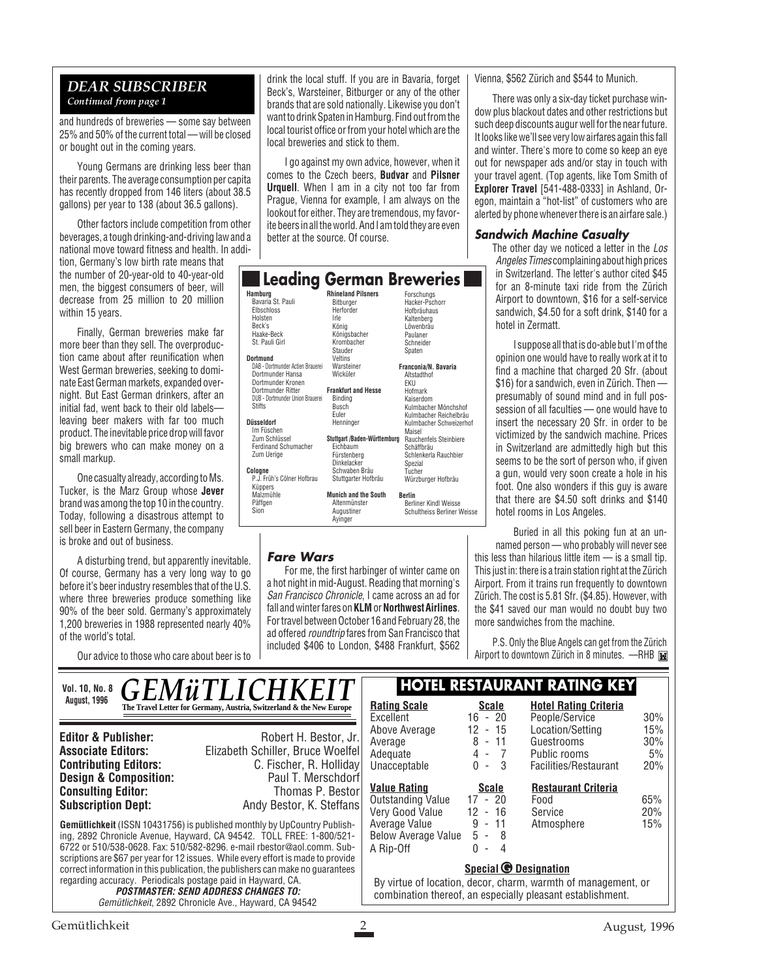#### *DEAR SUBSCRIBER Continued from page 1*

and hundreds of breweries — some say between 25% and 50% of the current total — will be closed or bought out in the coming years.

Young Germans are drinking less beer than their parents. The average consumption per capita has recently dropped from 146 liters (about 38.5 gallons) per year to 138 (about 36.5 gallons).

Other factors include competition from other beverages, a tough drinking-and-driving law and a national move toward fitness and health. In addi-

tion, Germany's low birth rate means that the number of 20-year-old to 40-year-old men, the biggest consumers of beer, will decrease from 25 million to 20 million within 15 years.

Finally, German breweries make far more beer than they sell. The overproduction came about after reunification when West German breweries, seeking to dominate East German markets, expanded overnight. But East German drinkers, after an initial fad, went back to their old labels leaving beer makers with far too much product. The inevitable price drop will favor big brewers who can make money on a small markup.

One casualty already, according to Ms. Tucker, is the Marz Group whose **Jever** brand was among the top 10 in the country. Today, following a disastrous attempt to sell beer in Eastern Germany, the company is broke and out of business.

A disturbing trend, but apparently inevitable. Of course, Germany has a very long way to go before it's beer industry resembles that of the U.S. where three breweries produce something like 90% of the beer sold. Germany's approximately 1,200 breweries in 1988 represented nearly 40% of the world's total.

Our advice to those who care about beer is to

drink the local stuff. If you are in Bavaria, forget Beck's, Warsteiner, Bitburger or any of the other brands that are sold nationally. Likewise you don't want to drink Spaten in Hamburg. Find out from the local tourist office or from your hotel which are the local breweries and stick to them.

I go against my own advice, however, when it comes to the Czech beers, **Budvar** and **Pilsner Urquell**. When I am in a city not too far from Prague, Vienna for example, I am always on the lookout for either. They are tremendous, my favorite beers in all the world. And I am told they are even better at the source. Of course.

| <b>Leading</b>                                                                                                                                                          | German Breweries                                                                                                                |                                                                                                                                                 |
|-------------------------------------------------------------------------------------------------------------------------------------------------------------------------|---------------------------------------------------------------------------------------------------------------------------------|-------------------------------------------------------------------------------------------------------------------------------------------------|
| Hamburg<br>Bavaria St. Pauli<br>Elbschloss<br>Holsten<br>Beck's<br>Haake-Beck<br>St. Pauli Girl<br><b>Dortmund</b>                                                      | <b>Rhineland Pilsners</b><br>Bitburger<br>Herforder<br><b>Irle</b><br>König<br>Königsbacher<br>Kromhacher<br>Stauder<br>Veltins | Forschungs<br>Hacker-Pschorr<br>Hofbräuhaus<br>Kaltenberg<br>Löwenbräu<br>Paulaner<br>Schneider<br>Spaten                                       |
| DAB - Dortmunder Actien Brauerei<br>Dortmunder Hansa<br>Dortmunder Kronen<br>Dortmunder Ritter<br>DUB - Dortmunder Union Brauerei<br><b>Stifts</b><br><b>Düsseldorf</b> | Warsteiner<br>Wicküler<br><b>Frankfurt and Hesse</b><br>Binding<br><b>Busch</b><br>Euler<br>Henninger                           | Franconia/N. Bavaria<br>Altstadthof<br>EKU<br>Hofmark<br>Kaiserdom<br>Kulmbacher Mönchshof<br>Kulmbacher Reichelbräu<br>Kulmbacher Schweizerhof |
| Im Füschen<br>Zum Schlüssel<br><b>Ferdinand Schumacher</b><br>Zum Uerige<br>Cologne<br>P.J. Früh's Cölner Hofbrau<br>Küppers                                            | Stuttgart /Baden-Württemburg<br>Eichbaum<br>Fürstenbera<br>Dinkelacker<br>Schwaben Bräu<br>Stuttgarter Hofbräu                  | Maisel<br><b>Rauchenfels Steinbiere</b><br>Schäffbräu<br>Schlenkerla Rauchbier<br>Spezial<br>Tucher<br>Würzburger Hofbräu                       |
| Malzmühle<br>Päffgen<br>Sion                                                                                                                                            | <b>Munich and the South</b><br>Altenmünster<br>Augustiner<br>Avinger                                                            | <b>Berlin</b><br><b>Berliner Kindl Weisse</b><br><b>Schultheiss Berliner Weisse</b>                                                             |

#### **Fare Wars**

 $\overline{a}$ 

For me, the first harbinger of winter came on a hot night in mid-August. Reading that morning's San Francisco Chronicle, I came across an ad for fall and winter fares on **KLM** or **Northwest Airlines**. For travel between October 16 and February 28, the ad offered roundtrip fares from San Francisco that included \$406 to London, \$488 Frankfurt, \$562

Vienna, \$562 Zürich and \$544 to Munich.

There was only a six-day ticket purchase window plus blackout dates and other restrictions but such deep discounts augur well for the near future. It looks like we'll see very low airfares again this fall and winter. There's more to come so keep an eye out for newspaper ads and/or stay in touch with your travel agent. (Top agents, like Tom Smith of **Explorer Travel** [541-488-0333] in Ashland, Oregon, maintain a "hot-list" of customers who are alerted by phone whenever there is an airfare sale.)

#### **Sandwich Machine Casualty**

The other day we noticed a letter in the Los Angeles Times complaining about high prices in Switzerland. The letter's author cited \$45 for an 8-minute taxi ride from the Zürich Airport to downtown, \$16 for a self-service sandwich, \$4.50 for a soft drink, \$140 for a hotel in Zermatt.

I suppose all that is do-able but I'm of the opinion one would have to really work at it to find a machine that charged 20 Sfr. (about \$16) for a sandwich, even in Zürich. Then presumably of sound mind and in full possession of all faculties — one would have to insert the necessary 20 Sfr. in order to be victimized by the sandwich machine. Prices in Switzerland are admittedly high but this seems to be the sort of person who, if given a gun, would very soon create a hole in his foot. One also wonders if this guy is aware that there are \$4.50 soft drinks and \$140 hotel rooms in Los Angeles.

Buried in all this poking fun at an unnamed person — who probably will never see this less than hilarious little item — is a small tip. This just in: there is a train station right at the Zürich Airport. From it trains run frequently to downtown Zürich. The cost is 5.81 Sfr. (\$4.85). However, with the \$41 saved our man would no doubt buy two more sandwiches from the machine.

P.S. Only the Blue Angels can get from the Zürich Airport to downtown Zürich in 8 minutes. - RHB

| <i><b>GEMÜTLICHKEIT</b></i><br>Vol. 10, No. 8                                                                                                                                                                                                                                                                                                                                                            | <b>HOTEL RESTAURANT RATING KEY</b> |                                                                                                                             |                               |                                  |                                                                         |                         |
|----------------------------------------------------------------------------------------------------------------------------------------------------------------------------------------------------------------------------------------------------------------------------------------------------------------------------------------------------------------------------------------------------------|------------------------------------|-----------------------------------------------------------------------------------------------------------------------------|-------------------------------|----------------------------------|-------------------------------------------------------------------------|-------------------------|
| <b>August, 1996</b><br>The Travel Letter for Germany, Austria, Switzerland & the New Europe                                                                                                                                                                                                                                                                                                              |                                    | <b>Rating Scale</b><br>Excellent                                                                                            | $16 - 20$                     | <b>Scale</b>                     | <b>Hotel Rating Criteria</b><br>People/Service                          | $30\%$                  |
| Robert H. Bestor, Jr.<br><b>Editor &amp; Publisher:</b><br>Elizabeth Schiller, Bruce Woelfel<br><b>Associate Editors:</b><br>C. Fischer, R. Holliday<br><b>Contributing Editors:</b>                                                                                                                                                                                                                     |                                    | Above Average<br>Average<br>Adequate<br>Unacceptable                                                                        | 12<br>8<br>$\mathbf{0}$       | $-15$<br>$-11$<br>$4 - 7$<br>- 3 | Location/Setting<br>Guestrooms<br>Public rooms<br>Facilities/Restaurant | 15%<br>30%<br>5%<br>20% |
| <b>Design &amp; Composition:</b><br>Paul T. Merschdorf<br><b>Consulting Editor:</b><br>Thomas P. Bestor<br><b>Subscription Dept:</b><br>Andy Bestor, K. Steffans                                                                                                                                                                                                                                         |                                    | <b>Value Rating</b><br><b>Outstanding Value</b><br>Very Good Value                                                          | $17 - 20$<br>12 <sup>12</sup> | Scale<br>- 16                    | <b>Restaurant Criteria</b><br>Food<br>Service                           | 65%<br>20%              |
| <b>Gemütlichkeit</b> (ISSN 10431756) is published monthly by UpCountry Publish-<br>ing, 2892 Chronicle Avenue, Hayward, CA 94542. TOLL FREE: 1-800/521-<br>6722 or 510/538-0628, Fax: 510/582-8296, e-mail rbestor@aol.comm, Sub-<br>scriptions are \$67 per year for 12 issues. While every effort is made to provide<br>correct information in this publication, the publishers can make no quarantees |                                    | Average Value<br>Below Average Value<br>A Rip-Off                                                                           | 9<br>5<br>$\Omega$<br>$\sim$  | $-11$<br>- 8<br>$\overline{4}$   | Atmosphere<br><b>Special © Designation</b>                              | 15%                     |
| regarding accuracy. Periodicals postage paid in Hayward, CA.<br><b>POSTMASTER: SEND ADDRESS CHANGES TO:</b><br>Gemütlichkeit, 2892 Chronicle Ave., Hayward, CA 94542                                                                                                                                                                                                                                     |                                    | By virtue of location, decor, charm, warmth of management, or<br>combination thereof, an especially pleasant establishment. |                               |                                  |                                                                         |                         |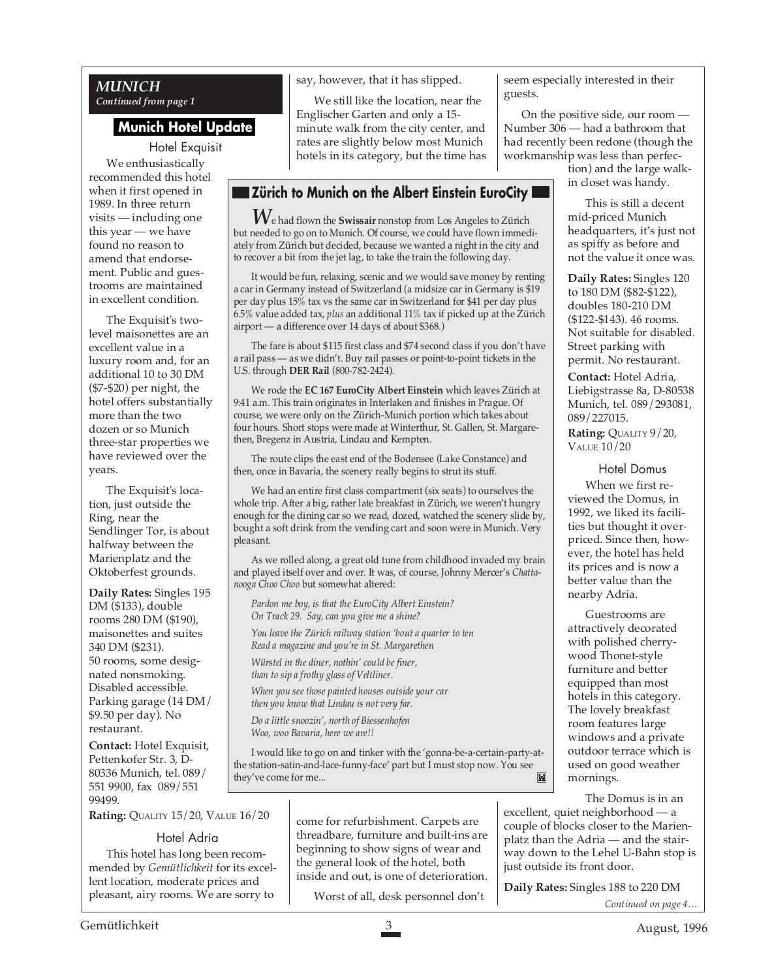#### *MUNICH Continued from page 1*

## **Munich Hotel Update**

Hotel Exquisit We enthusiastically recommended this hotel when it first opened in 1989. In three return visits — including one this year — we have found no reason to amend that endorsement. Public and guestrooms are maintained in excellent condition.

The Exquisit's twolevel maisonettes are an excellent value in a luxury room and, for an additional 10 to 30 DM (\$7-\$20) per night, the hotel offers substantially more than the two dozen or so Munich three-star properties we have reviewed over the years.

The Exquisit's location, just outside the Ring, near the Sendlinger Tor, is about halfway between the Marienplatz and the Oktoberfest grounds.

**Daily Rates:** Singles 195 DM (\$133), double rooms 280 DM (\$190), maisonettes and suites 340 DM (\$231). 50 rooms, some designated nonsmoking. Disabled accessible. Parking garage (14 DM/ \$9.50 per day). No restaurant.

**Contact:** Hotel Exquisit, Pettenkofer Str. 3, D-80336 Munich, tel. 089/ 551 9900, fax 089/551 99499.

**Rating:** QUALITY 15/20, VALUE 16/20

#### Hotel Adria

This hotel has long been recommended by *Gemütlichkeit* for its excellent location, moderate prices and pleasant, airy rooms. We are sorry to

say, however, that it has slipped.

We still like the location, near the Englischer Garten and only a 15 minute walk from the city center, and rates are slightly below most Munich hotels in its category, but the time has

# **Zürich to Munich on the Albert Einstein EuroCity I**

*W*e had flown the **Swissair** nonstop from Los Angeles to Zürich but needed to go on to Munich. Of course, we could have flown immediately from Zürich but decided, because we wanted a night in the city and to recover a bit from the jet lag, to take the train the following day.

It would be fun, relaxing, scenic and we would save money by renting a car in Germany instead of Switzerland (a midsize car in Germany is \$19 per day plus 15% tax vs the same car in Switzerland for \$41 per day plus 6.5% value added tax, *plus* an additional 11% tax if picked up at the Zürich airport — a difference over 14 days of about \$368.)

The fare is about \$115 first class and \$74 second class if you don't have a rail pass — as we didn't. Buy rail passes or point-to-point tickets in the U.S. through **DER Rail** (800-782-2424).

We rode the **EC 167 EuroCity Albert Einstein** which leaves Zürich at 9:41 a.m. This train originates in Interlaken and finishes in Prague. Of course, we were only on the Zürich-Munich portion which takes about four hours. Short stops were made at Winterthur, St. Gallen, St. Margarethen, Bregenz in Austria, Lindau and Kempten.

The route clips the east end of the Bodensee (Lake Constance) and then, once in Bavaria, the scenery really begins to strut its stuff.

We had an entire first class compartment (six seats) to ourselves the whole trip. After a big, rather late breakfast in Zürich, we weren't hungry enough for the dining car so we read, dozed, watched the scenery slide by, bought a soft drink from the vending cart and soon were in Munich. Very pleasant.

As we rolled along, a great old tune from childhood invaded my brain and played itself over and over. It was, of course, Johnny Mercer's *Chattanooga Choo Choo* but somewhat altered:

*Pardon me boy, is that the EuroCity Albert Einstein? On Track 29. Say, can you give me a shine?*

*You leave the Zürich railway station 'bout a quarter to ten Read a magazine and you're in St. Margarethen*

*Würstel in the diner, nothin' could be finer, than to sip a frothy glass of Veltliner.*

*When you see those painted houses outside your car then you know that Lindau is not very far.*

*Do a little snoozin', north of Biessenhofen Woo, woo Bavaria, here we are!!*

I would like to go on and tinker with the 'gonna-be-a-certain-party-atthe station-satin-and-lace-funny-face' part but I must stop now. You see they've come for me...M

> come for refurbishment. Carpets are threadbare, furniture and built-ins are beginning to show signs of wear and the general look of the hotel, both inside and out, is one of deterioration.

Worst of all, desk personnel don't

seem especially interested in their guests.

On the positive side, our room — Number 306 — had a bathroom that had recently been redone (though the workmanship was less than perfec-

tion) and the large walkin closet was handy.

This is still a decent mid-priced Munich headquarters, it's just not as spiffy as before and not the value it once was.

**Daily Rates:** Singles 120 to 180 DM (\$82-\$122), doubles 180-210 DM (\$122-\$143). 46 rooms. Not suitable for disabled. Street parking with permit. No restaurant.

**Contact:** Hotel Adria, Liebigstrasse 8a, D-80538 Munich, tel. 089/293081, 089/227015.

**Rating:** QUALITY 9/20, VALUE 10/20

#### Hotel Domus

When we first reviewed the Domus, in 1992, we liked its facilities but thought it overpriced. Since then, however, the hotel has held its prices and is now a better value than the nearby Adria.

Guestrooms are attractively decorated with polished cherrywood Thonet-style furniture and better equipped than most hotels in this category. The lovely breakfast room features large windows and a private outdoor terrace which is used on good weather mornings.

The Domus is in an

excellent, quiet neighborhood — a couple of blocks closer to the Marienplatz than the Adria — and the stairway down to the Lehel U-Bahn stop is just outside its front door.

**Daily Rates:** Singles 188 to 220 DM

*Continued on page 4…*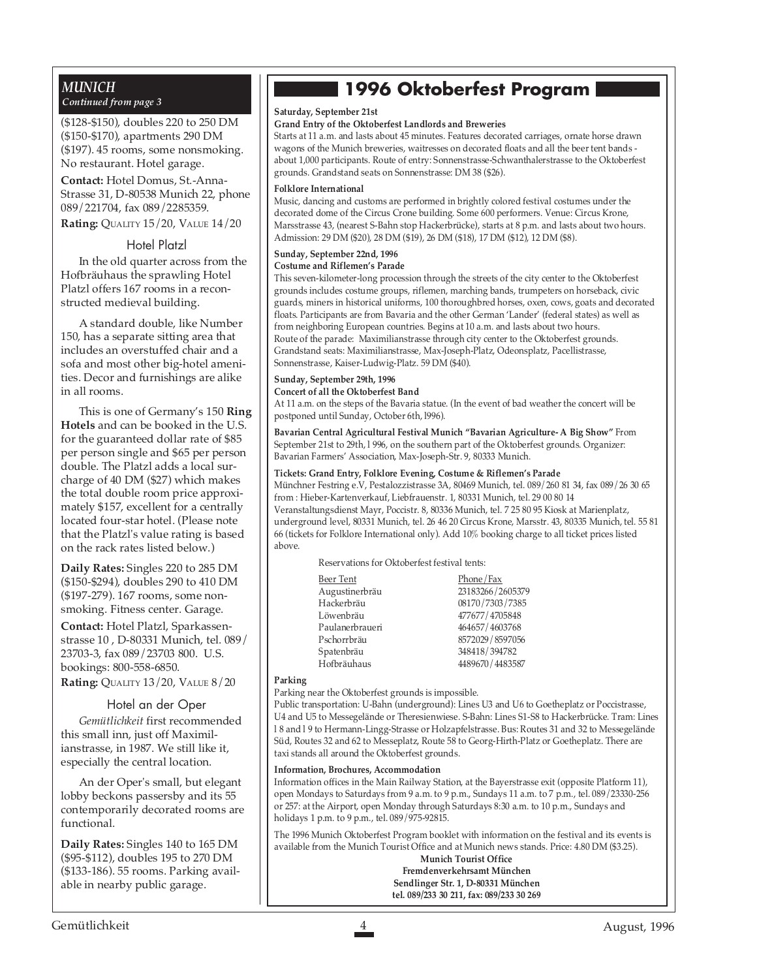#### *MUNICH Continued from page 3*

(\$128-\$150), doubles 220 to 250 DM (\$150-\$170), apartments 290 DM (\$197). 45 rooms, some nonsmoking. No restaurant. Hotel garage.

**Contact:** Hotel Domus, St.-Anna-Strasse 31, D-80538 Munich 22, phone 089/221704, fax 089/2285359.

**Rating:** QUALITY 15/20, VALUE 14/20

#### Hotel Platzl

In the old quarter across from the Hofbräuhaus the sprawling Hotel Platzl offers 167 rooms in a reconstructed medieval building.

A standard double, like Number 150, has a separate sitting area that includes an overstuffed chair and a sofa and most other big-hotel amenities. Decor and furnishings are alike in all rooms.

This is one of Germany's 150 **Ring Hotels** and can be booked in the U.S. for the guaranteed dollar rate of \$85 per person single and \$65 per person double. The Platzl adds a local surcharge of 40 DM (\$27) which makes the total double room price approximately \$157, excellent for a centrally located four-star hotel. (Please note that the Platzl's value rating is based on the rack rates listed below.)

**Daily Rates:** Singles 220 to 285 DM (\$150-\$294), doubles 290 to 410 DM (\$197-279). 167 rooms, some nonsmoking. Fitness center. Garage.

**Contact:** Hotel Platzl, Sparkassenstrasse 10 , D-80331 Munich, tel. 089/ 23703-3, fax 089/23703 800. U.S. bookings: 800-558-6850.

**Rating:** QUALITY 13/20, VALUE 8/20

#### Hotel an der Oper

*Gemütlichkeit* first recommended this small inn, just off Maximilianstrasse, in 1987. We still like it, especially the central location.

An der Oper's small, but elegant lobby beckons passersby and its 55 contemporarily decorated rooms are functional.

**Daily Rates:** Singles 140 to 165 DM (\$95-\$112), doubles 195 to 270 DM (\$133-186). 55 rooms. Parking available in nearby public garage.

# **1996 Oktoberfest Program**

#### **Saturday, September 21st**

#### **Grand Entry of the Oktoberfest Landlords and Breweries**

Starts at 11 a.m. and lasts about 45 minutes. Features decorated carriages, ornate horse drawn wagons of the Munich breweries, waitresses on decorated floats and all the beer tent bands about 1,000 participants. Route of entry: Sonnenstrasse-Schwanthalerstrasse to the Oktoberfest grounds. Grandstand seats on Sonnenstrasse: DM 38 (\$26).

#### **Folklore International**

Music, dancing and customs are performed in brightly colored festival costumes under the decorated dome of the Circus Crone building. Some 600 performers. Venue: Circus Krone, Marsstrasse 43, (nearest S-Bahn stop Hackerbrücke), starts at 8 p.m. and lasts about two hours. Admission: 29 DM (\$20), 28 DM (\$19), 26 DM (\$18), 17 DM (\$12), 12 DM (\$8).

#### **Sunday, September 22nd, 1996 Costume and Riflemen's Parade**

This seven-kilometer-long procession through the streets of the city center to the Oktoberfest grounds includes costume groups, riflemen, marching bands, trumpeters on horseback, civic guards, miners in historical uniforms, 100 thoroughbred horses, oxen, cows, goats and decorated floats. Participants are from Bavaria and the other German 'Lander' (federal states) as well as from neighboring European countries. Begins at 10 a.m. and lasts about two hours. Route of the parade: Maximilianstrasse through city center to the Oktoberfest grounds. Grandstand seats: Maximilianstrasse, Max-Joseph-Platz, Odeonsplatz, Pacellistrasse, Sonnenstrasse, Kaiser-Ludwig-Platz. 59 DM (\$40).

#### **Sunday, September 29th, 1996 Concert of all the Oktoberfest Band**

At 11 a.m. on the steps of the Bavaria statue. (In the event of bad weather the concert will be postponed until Sunday, October 6th, l996).

**Bavarian Central Agricultural Festival Munich "Bavarian Agriculture- A Big Show"** From September 21st to 29th, l 996, on the southern part of the Oktoberfest grounds. Organizer: Bavarian Farmers' Association, Max-Joseph-Str. 9, 80333 Munich.

#### **Tickets: Grand Entry, Folklore Evening, Costume & Riflemen's Parade**

Münchner Festring e.V, Pestalozzistrasse 3A, 80469 Munich, tel. 089/260 81 34, fax 089/26 30 65 from : Hieber-Kartenverkauf, Liebfrauenstr. 1, 80331 Munich, tel. 29 00 80 14 Veranstaltungsdienst Mayr, Poccistr. 8, 80336 Munich, tel. 7 25 80 95 Kiosk at Marienplatz, underground level, 80331 Munich, tel. 26 46 20 Circus Krone, Marsstr. 43, 80335 Munich, tel. 55 81 66 (tickets for Folklore International only). Add 10% booking charge to all ticket prices listed above.

Reservations for Oktoberfest festival tents:

| Phone/Fax        |
|------------------|
| 23183266/2605379 |
| 08170/7303/7385  |
| 477677/4705848   |
| 464657/4603768   |
| 8572029/8597056  |
| 348418/394782    |
| 4489670/4483587  |
|                  |

#### **Parking**

Parking near the Oktoberfest grounds is impossible.

Public transportation: U-Bahn (underground): Lines U3 and U6 to Goetheplatz or Poccistrasse, U4 and U5 to Messegelände or Theresienwiese. S-Bahn: Lines S1-S8 to Hackerbrücke. Tram: Lines l 8 and l 9 to Hermann-Lingg-Strasse or Holzapfelstrasse. Bus: Routes 31 and 32 to Messegelände Süd, Routes 32 and 62 to Messeplatz, Route 58 to Georg-Hirth-Platz or Goetheplatz. There are taxi stands all around the Oktoberfest grounds.

#### **Information, Brochures, Accommodation**

Information offices in the Main Railway Station, at the Bayerstrasse exit (opposite Platform 11), open Mondays to Saturdays from 9 a.m. to 9 p.m., Sundays 11 a.m. to 7 p.m., tel. 089/23330-256 or 257: at the Airport, open Monday through Saturdays 8:30 a.m. to 10 p.m., Sundays and holidays 1 p.m. to 9 p.m., tel. 089/975-92815.

The 1996 Munich Oktoberfest Program booklet with information on the festival and its events is available from the Munich Tourist Office and at Munich news stands. Price: 4.80 DM (\$3.25).

#### **Munich Tourist Office Fremdenverkehrsamt München Sendlinger Str. 1, D-80331 München tel. 089/233 30 211, fax: 089/233 30 269**

Gemütlichkeit August, 1996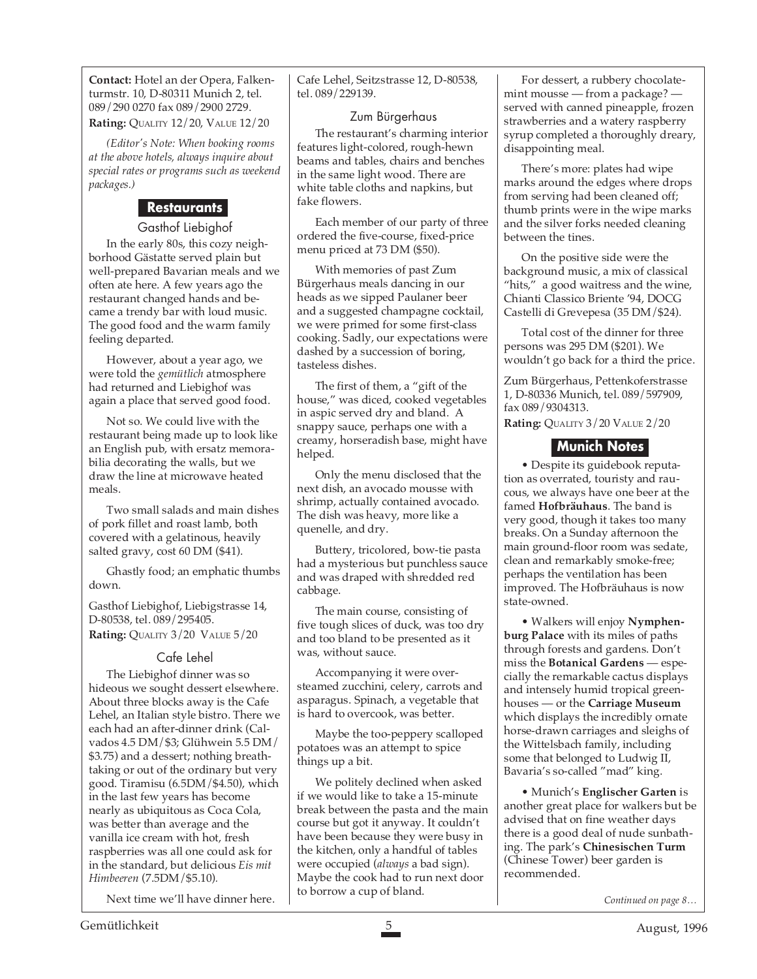**Contact:** Hotel an der Opera, Falkenturmstr. 10, D-80311 Munich 2, tel. 089/290 0270 fax 089/2900 2729.

**Rating:** QUALITY 12/20, VALUE 12/20

*(Editor's Note: When booking rooms at the above hotels, always inquire about special rates or programs such as weekend packages.)*

### **Restaurants**

#### Gasthof Liebighof

In the early 80s, this cozy neighborhood Gästatte served plain but well-prepared Bavarian meals and we often ate here. A few years ago the restaurant changed hands and became a trendy bar with loud music. The good food and the warm family feeling departed.

However, about a year ago, we were told the *gemütlich* atmosphere had returned and Liebighof was again a place that served good food.

Not so. We could live with the restaurant being made up to look like an English pub, with ersatz memorabilia decorating the walls, but we draw the line at microwave heated meals.

Two small salads and main dishes of pork fillet and roast lamb, both covered with a gelatinous, heavily salted gravy, cost 60 DM (\$41).

Ghastly food; an emphatic thumbs down.

Gasthof Liebighof, Liebigstrasse 14, D-80538, tel. 089/295405. **Rating:** QUALITY 3/20 VALUE 5/20

#### Cafe Lehel

The Liebighof dinner was so hideous we sought dessert elsewhere. About three blocks away is the Cafe Lehel, an Italian style bistro. There we each had an after-dinner drink (Calvados 4.5 DM/\$3; Glühwein 5.5 DM/ \$3.75) and a dessert; nothing breathtaking or out of the ordinary but very good. Tiramisu (6.5DM/\$4.50), which in the last few years has become nearly as ubiquitous as Coca Cola, was better than average and the vanilla ice cream with hot, fresh raspberries was all one could ask for in the standard, but delicious *Eis mit Himbeeren* (7.5DM/\$5.10)*.*

Next time we'll have dinner here.

Cafe Lehel, Seitzstrasse 12, D-80538, tel. 089/229139.

#### Zum Bürgerhaus

The restaurant's charming interior features light-colored, rough-hewn beams and tables, chairs and benches in the same light wood. There are white table cloths and napkins, but fake flowers.

Each member of our party of three ordered the five-course, fixed-price menu priced at 73 DM (\$50).

With memories of past Zum Bürgerhaus meals dancing in our heads as we sipped Paulaner beer and a suggested champagne cocktail, we were primed for some first-class cooking. Sadly, our expectations were dashed by a succession of boring, tasteless dishes.

The first of them, a "gift of the house," was diced, cooked vegetables in aspic served dry and bland. A snappy sauce, perhaps one with a creamy, horseradish base, might have helped.

Only the menu disclosed that the next dish, an avocado mousse with shrimp, actually contained avocado. The dish was heavy, more like a quenelle, and dry.

Buttery, tricolored, bow-tie pasta had a mysterious but punchless sauce and was draped with shredded red cabbage.

The main course, consisting of five tough slices of duck, was too dry and too bland to be presented as it was, without sauce.

Accompanying it were oversteamed zucchini, celery, carrots and asparagus. Spinach, a vegetable that is hard to overcook, was better.

Maybe the too-peppery scalloped potatoes was an attempt to spice things up a bit.

We politely declined when asked if we would like to take a 15-minute break between the pasta and the main course but got it anyway. It couldn't have been because they were busy in the kitchen, only a handful of tables were occupied (*always* a bad sign). Maybe the cook had to run next door to borrow a cup of bland.

For dessert, a rubbery chocolatemint mousse — from a package? served with canned pineapple, frozen strawberries and a watery raspberry syrup completed a thoroughly dreary, disappointing meal.

There's more: plates had wipe marks around the edges where drops from serving had been cleaned off; thumb prints were in the wipe marks and the silver forks needed cleaning between the tines.

On the positive side were the background music, a mix of classical "hits," a good waitress and the wine, Chianti Classico Briente '94, DOCG Castelli di Grevepesa (35 DM/\$24).

Total cost of the dinner for three persons was 295 DM (\$201). We wouldn't go back for a third the price.

Zum Bürgerhaus, Pettenkoferstrasse 1, D-80336 Munich, tel. 089/597909, fax 089/9304313.

**Rating:** QUALITY 3/20 VALUE 2/20

# **Munich Notes**

• Despite its guidebook reputation as overrated, touristy and raucous, we always have one beer at the famed **Hofbräuhaus**. The band is very good, though it takes too many breaks. On a Sunday afternoon the main ground-floor room was sedate, clean and remarkably smoke-free; perhaps the ventilation has been improved. The Hofbräuhaus is now state-owned.

• Walkers will enjoy **Nymphenburg Palace** with its miles of paths through forests and gardens. Don't miss the **Botanical Gardens** — especially the remarkable cactus displays and intensely humid tropical greenhouses — or the **Carriage Museum** which displays the incredibly ornate horse-drawn carriages and sleighs of the Wittelsbach family, including some that belonged to Ludwig II, Bavaria's so-called "mad" king.

• Munich's **Englischer Garten** is another great place for walkers but be advised that on fine weather days there is a good deal of nude sunbathing. The park's **Chinesischen Turm** (Chinese Tower) beer garden is recommended.

*Continued on page 8…*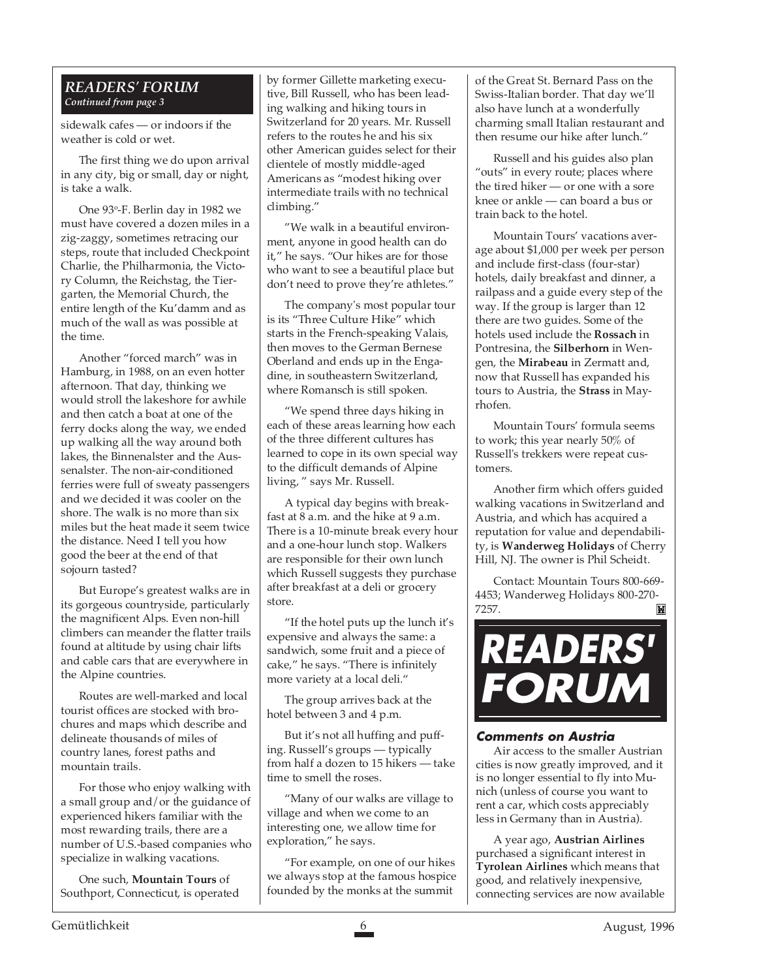#### *READERS' FORUM Continued from page 3*

sidewalk cafes — or indoors if the weather is cold or wet.

The first thing we do upon arrival in any city, big or small, day or night, is take a walk.

One 93°-F. Berlin day in 1982 we must have covered a dozen miles in a zig-zaggy, sometimes retracing our steps, route that included Checkpoint Charlie, the Philharmonia, the Victory Column, the Reichstag, the Tiergarten, the Memorial Church, the entire length of the Ku'damm and as much of the wall as was possible at the time.

Another "forced march" was in Hamburg, in 1988, on an even hotter afternoon. That day, thinking we would stroll the lakeshore for awhile and then catch a boat at one of the ferry docks along the way, we ended up walking all the way around both lakes, the Binnenalster and the Aussenalster. The non-air-conditioned ferries were full of sweaty passengers and we decided it was cooler on the shore. The walk is no more than six miles but the heat made it seem twice the distance. Need I tell you how good the beer at the end of that sojourn tasted?

But Europe's greatest walks are in its gorgeous countryside, particularly the magnificent Alps. Even non-hill climbers can meander the flatter trails found at altitude by using chair lifts and cable cars that are everywhere in the Alpine countries.

Routes are well-marked and local tourist offices are stocked with brochures and maps which describe and delineate thousands of miles of country lanes, forest paths and mountain trails.

For those who enjoy walking with a small group and/or the guidance of experienced hikers familiar with the most rewarding trails, there are a number of U.S.-based companies who specialize in walking vacations.

One such, **Mountain Tours** of Southport, Connecticut, is operated by former Gillette marketing executive, Bill Russell, who has been leading walking and hiking tours in Switzerland for 20 years. Mr. Russell refers to the routes he and his six other American guides select for their clientele of mostly middle-aged Americans as "modest hiking over intermediate trails with no technical climbing."

"We walk in a beautiful environment, anyone in good health can do it," he says. "Our hikes are for those who want to see a beautiful place but don't need to prove they're athletes."

The company's most popular tour is its "Three Culture Hike" which starts in the French-speaking Valais, then moves to the German Bernese Oberland and ends up in the Engadine, in southeastern Switzerland, where Romansch is still spoken.

"We spend three days hiking in each of these areas learning how each of the three different cultures has learned to cope in its own special way to the difficult demands of Alpine living, " says Mr. Russell.

A typical day begins with breakfast at 8 a.m. and the hike at 9 a.m. There is a 10-minute break every hour and a one-hour lunch stop. Walkers are responsible for their own lunch which Russell suggests they purchase after breakfast at a deli or grocery store.

"If the hotel puts up the lunch it's expensive and always the same: a sandwich, some fruit and a piece of cake," he says. "There is infinitely more variety at a local deli."

The group arrives back at the hotel between 3 and 4 p.m.

But it's not all huffing and puffing. Russell's groups — typically from half a dozen to 15 hikers — take time to smell the roses.

"Many of our walks are village to village and when we come to an interesting one, we allow time for exploration," he says.

"For example, on one of our hikes we always stop at the famous hospice founded by the monks at the summit

of the Great St. Bernard Pass on the Swiss-Italian border. That day we'll also have lunch at a wonderfully charming small Italian restaurant and then resume our hike after lunch."

Russell and his guides also plan "outs" in every route; places where the tired hiker — or one with a sore knee or ankle — can board a bus or train back to the hotel.

Mountain Tours' vacations average about \$1,000 per week per person and include first-class (four-star) hotels, daily breakfast and dinner, a railpass and a guide every step of the way. If the group is larger than 12 there are two guides. Some of the hotels used include the **Rossach** in Pontresina, the **Silberhorn** in Wengen, the **Mirabeau** in Zermatt and, now that Russell has expanded his tours to Austria, the **Strass** in Mayrhofen.

Mountain Tours' formula seems to work; this year nearly 50% of Russell's trekkers were repeat customers.

Another firm which offers guided walking vacations in Switzerland and Austria, and which has acquired a reputation for value and dependability, is **Wanderweg Holidays** of Cherry Hill, NJ. The owner is Phil Scheidt.

Contact: Mountain Tours 800-669- 4453; Wanderweg Holidays 800-270- 7257.



#### **Comments on Austria**

Air access to the smaller Austrian cities is now greatly improved, and it is no longer essential to fly into Munich (unless of course you want to rent a car, which costs appreciably less in Germany than in Austria).

A year ago, **Austrian Airlines** purchased a significant interest in **Tyrolean Airlines** which means that good, and relatively inexpensive, connecting services are now available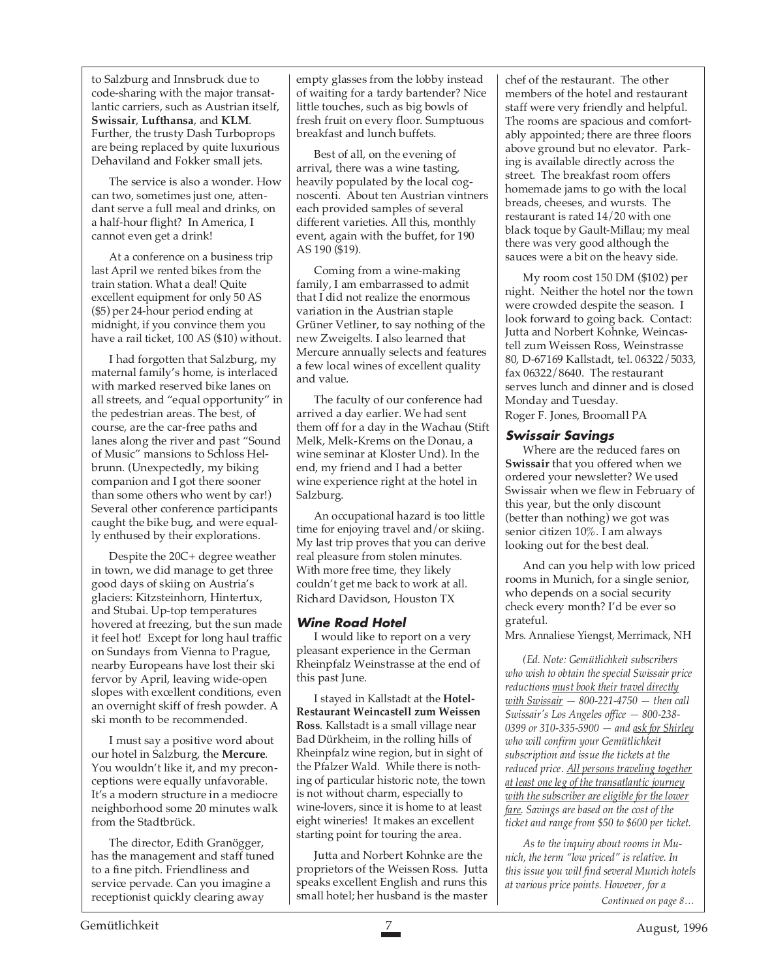to Salzburg and Innsbruck due to code-sharing with the major transatlantic carriers, such as Austrian itself, **Swissair**, **Lufthansa**, and **KLM**. Further, the trusty Dash Turboprops are being replaced by quite luxurious Dehaviland and Fokker small jets.

The service is also a wonder. How can two, sometimes just one, attendant serve a full meal and drinks, on a half-hour flight? In America, I cannot even get a drink!

At a conference on a business trip last April we rented bikes from the train station. What a deal! Quite excellent equipment for only 50 AS (\$5) per 24-hour period ending at midnight, if you convince them you have a rail ticket, 100 AS (\$10) without.

I had forgotten that Salzburg, my maternal family's home, is interlaced with marked reserved bike lanes on all streets, and "equal opportunity" in the pedestrian areas. The best, of course, are the car-free paths and lanes along the river and past "Sound of Music" mansions to Schloss Helbrunn. (Unexpectedly, my biking companion and I got there sooner than some others who went by car!) Several other conference participants caught the bike bug, and were equally enthused by their explorations.

Despite the 20C+ degree weather in town, we did manage to get three good days of skiing on Austria's glaciers: Kitzsteinhorn, Hintertux, and Stubai. Up-top temperatures hovered at freezing, but the sun made it feel hot! Except for long haul traffic on Sundays from Vienna to Prague, nearby Europeans have lost their ski fervor by April, leaving wide-open slopes with excellent conditions, even an overnight skiff of fresh powder. A ski month to be recommended.

I must say a positive word about our hotel in Salzburg, the **Mercure**. You wouldn't like it, and my preconceptions were equally unfavorable. It's a modern structure in a mediocre neighborhood some 20 minutes walk from the Stadtbrück.

The director, Edith Granögger, has the management and staff tuned to a fine pitch. Friendliness and service pervade. Can you imagine a receptionist quickly clearing away

empty glasses from the lobby instead of waiting for a tardy bartender? Nice little touches, such as big bowls of fresh fruit on every floor. Sumptuous breakfast and lunch buffets.

Best of all, on the evening of arrival, there was a wine tasting, heavily populated by the local cognoscenti. About ten Austrian vintners each provided samples of several different varieties. All this, monthly event, again with the buffet, for 190 AS 190 (\$19).

Coming from a wine-making family, I am embarrassed to admit that I did not realize the enormous variation in the Austrian staple Grüner Vetliner, to say nothing of the new Zweigelts. I also learned that Mercure annually selects and features a few local wines of excellent quality and value.

The faculty of our conference had arrived a day earlier. We had sent them off for a day in the Wachau (Stift Melk, Melk-Krems on the Donau, a wine seminar at Kloster Und). In the end, my friend and I had a better wine experience right at the hotel in Salzburg.

An occupational hazard is too little time for enjoying travel and/or skiing. My last trip proves that you can derive real pleasure from stolen minutes. With more free time, they likely couldn't get me back to work at all. Richard Davidson, Houston TX

#### **Wine Road Hotel**

I would like to report on a very pleasant experience in the German Rheinpfalz Weinstrasse at the end of this past June.

I stayed in Kallstadt at the **Hotel-Restaurant Weincastell zum Weissen Ross**. Kallstadt is a small village near Bad Dürkheim, in the rolling hills of Rheinpfalz wine region, but in sight of the Pfalzer Wald. While there is nothing of particular historic note, the town is not without charm, especially to wine-lovers, since it is home to at least eight wineries! It makes an excellent starting point for touring the area.

Jutta and Norbert Kohnke are the proprietors of the Weissen Ross. Jutta speaks excellent English and runs this small hotel; her husband is the master

chef of the restaurant. The other members of the hotel and restaurant staff were very friendly and helpful. The rooms are spacious and comfortably appointed; there are three floors above ground but no elevator. Parking is available directly across the street. The breakfast room offers homemade jams to go with the local breads, cheeses, and wursts. The restaurant is rated 14/20 with one black toque by Gault-Millau; my meal there was very good although the sauces were a bit on the heavy side.

My room cost 150 DM (\$102) per night. Neither the hotel nor the town were crowded despite the season. I look forward to going back. Contact: Jutta and Norbert Kohnke, Weincastell zum Weissen Ross, Weinstrasse 80, D-67169 Kallstadt, tel. 06322/5033, fax 06322/8640. The restaurant serves lunch and dinner and is closed Monday and Tuesday. Roger F. Jones, Broomall PA

#### **Swissair Savings**

Where are the reduced fares on **Swissair** that you offered when we ordered your newsletter? We used Swissair when we flew in February of this year, but the only discount (better than nothing) we got was senior citizen 10%. I am always looking out for the best deal.

And can you help with low priced rooms in Munich, for a single senior, who depends on a social security check every month? I'd be ever so grateful.

Mrs. Annaliese Yiengst, Merrimack, NH

*(Ed. Note: Gemütlichkeit subscribers who wish to obtain the special Swissair price reductions must book their travel directly with Swissair — 800-221-4750 — then call Swissair's Los Angeles office — 800-238- 0399 or 310-335-5900 — and ask for Shirley who will confirm your Gemütlichkeit subscription and issue the tickets at the reduced price. All persons traveling together at least one leg of the transatlantic journey with the subscriber are eligible for the lower fare. Savings are based on the cost of the ticket and range from \$50 to \$600 per ticket.*

*As to the inquiry about rooms in Munich, the term "low priced" is relative. In this issue you will find several Munich hotels at various price points. However, for a*

*Continued on page 8…*